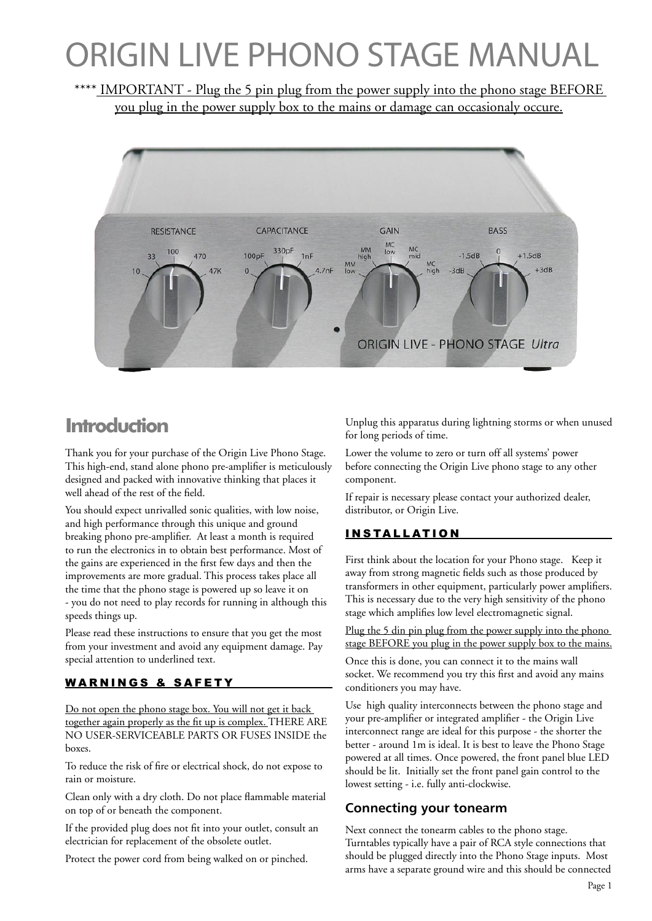# ORIGIN LIVE PHONO STAGE MANUAL

\*\*\*\* IMPORTANT - Plug the 5 pin plug from the power supply into the phono stage BEFORE you plug in the power supply box to the mains or damage can occasionaly occure.



# **Introduction**

Thank you for your purchase of the Origin Live Phono Stage. This high-end, stand alone phono pre-amplifier is meticulously designed and packed with innovative thinking that places it well ahead of the rest of the field.

You should expect unrivalled sonic qualities, with low noise, and high performance through this unique and ground breaking phono pre-amplifier. At least a month is required to run the electronics in to obtain best performance. Most of the gains are experienced in the first few days and then the improvements are more gradual. This process takes place all the time that the phono stage is powered up so leave it on - you do not need to play records for running in although this speeds things up.

Please read these instructions to ensure that you get the most from your investment and avoid any equipment damage. Pay special attention to underlined text.

#### WARNINGS & SAFETY

Do not open the phono stage box. You will not get it back together again properly as the fit up is complex. THERE ARE NO USER-SERVICEABLE PARTS OR FUSES INSIDE the boxes.

To reduce the risk of fire or electrical shock, do not expose to rain or moisture.

Clean only with a dry cloth. Do not place flammable material on top of or beneath the component.

If the provided plug does not fit into your outlet, consult an electrician for replacement of the obsolete outlet.

Protect the power cord from being walked on or pinched.

Unplug this apparatus during lightning storms or when unused for long periods of time.

Lower the volume to zero or turn off all systems' power before connecting the Origin Live phono stage to any other component.

If repair is necessary please contact your authorized dealer, distributor, or Origin Live.

## I N S TA L L AT I O N

First think about the location for your Phono stage. Keep it away from strong magnetic fields such as those produced by transformers in other equipment, particularly power amplifiers. This is necessary due to the very high sensitivity of the phono stage which amplifies low level electromagnetic signal.

Plug the 5 din pin plug from the power supply into the phono stage BEFORE you plug in the power supply box to the mains.

Once this is done, you can connect it to the mains wall socket. We recommend you try this first and avoid any mains conditioners you may have.

Use high quality interconnects between the phono stage and your pre-amplifier or integrated amplifier - the Origin Live interconnect range are ideal for this purpose - the shorter the better - around 1m is ideal. It is best to leave the Phono Stage powered at all times. Once powered, the front panel blue LED should be lit. Initially set the front panel gain control to the lowest setting - i.e. fully anti-clockwise.

## **Connecting your tonearm**

Next connect the tonearm cables to the phono stage. Turntables typically have a pair of RCA style connections that should be plugged directly into the Phono Stage inputs. Most arms have a separate ground wire and this should be connected